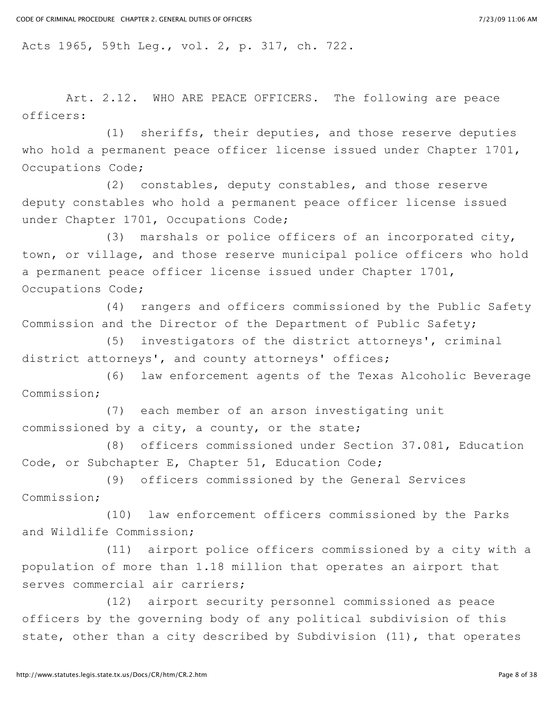Acts 1965, 59th Leg., vol. 2, p. 317, ch. 722.

Art. 2.12. WHO ARE PEACE OFFICERS. The following are peace officers:

(1) sheriffs, their deputies, and those reserve deputies who hold a permanent peace officer license issued under Chapter 1701, Occupations Code;

(2) constables, deputy constables, and those reserve deputy constables who hold a permanent peace officer license issued under Chapter 1701, Occupations Code;

(3) marshals or police officers of an incorporated city, town, or village, and those reserve municipal police officers who hold a permanent peace officer license issued under Chapter 1701, Occupations Code;

(4) rangers and officers commissioned by the Public Safety Commission and the Director of the Department of Public Safety;

(5) investigators of the district attorneys', criminal district attorneys', and county attorneys' offices;

(6) law enforcement agents of the Texas Alcoholic Beverage Commission;

(7) each member of an arson investigating unit commissioned by a city, a county, or the state;

(8) officers commissioned under Section 37.081, Education Code, or Subchapter E, Chapter 51, Education Code;

(9) officers commissioned by the General Services Commission;

(10) law enforcement officers commissioned by the Parks and Wildlife Commission;

(11) airport police officers commissioned by a city with a population of more than 1.18 million that operates an airport that serves commercial air carriers;

(12) airport security personnel commissioned as peace officers by the governing body of any political subdivision of this state, other than a city described by Subdivision (11), that operates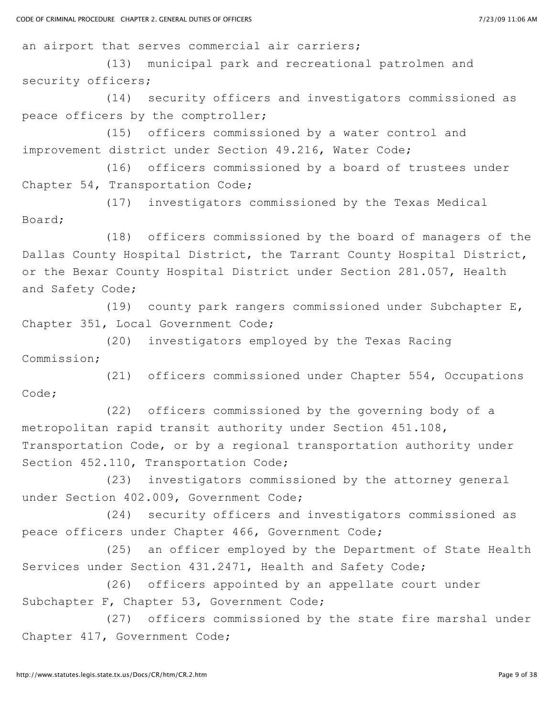an airport that serves commercial air carriers;

(13) municipal park and recreational patrolmen and security officers;

(14) security officers and investigators commissioned as peace officers by the comptroller;

(15) officers commissioned by a water control and improvement district under Section 49.216, Water Code;

(16) officers commissioned by a board of trustees under Chapter 54, Transportation Code;

(17) investigators commissioned by the Texas Medical Board;

(18) officers commissioned by the board of managers of the Dallas County Hospital District, the Tarrant County Hospital District, or the Bexar County Hospital District under Section 281.057, Health and Safety Code;

(19) county park rangers commissioned under Subchapter E, Chapter 351, Local Government Code;

(20) investigators employed by the Texas Racing Commission;

(21) officers commissioned under Chapter 554, Occupations Code;

(22) officers commissioned by the governing body of a metropolitan rapid transit authority under Section 451.108, Transportation Code, or by a regional transportation authority under Section 452.110, Transportation Code;

(23) investigators commissioned by the attorney general under Section 402.009, Government Code;

(24) security officers and investigators commissioned as peace officers under Chapter 466, Government Code;

(25) an officer employed by the Department of State Health Services under Section 431.2471, Health and Safety Code;

(26) officers appointed by an appellate court under Subchapter F, Chapter 53, Government Code;

(27) officers commissioned by the state fire marshal under Chapter 417, Government Code;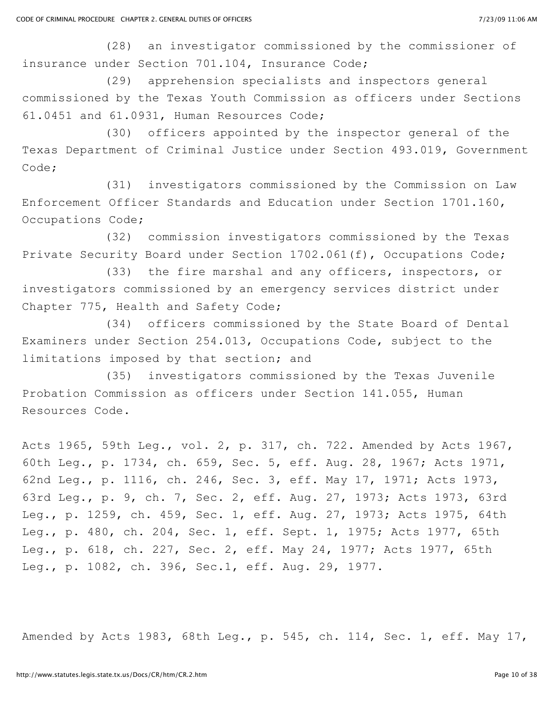(28) an investigator commissioned by the commissioner of insurance under Section 701.104, Insurance Code;

(29) apprehension specialists and inspectors general commissioned by the Texas Youth Commission as officers under Sections 61.0451 and 61.0931, Human Resources Code;

(30) officers appointed by the inspector general of the Texas Department of Criminal Justice under Section 493.019, Government Code;

(31) investigators commissioned by the Commission on Law Enforcement Officer Standards and Education under Section 1701.160, Occupations Code;

(32) commission investigators commissioned by the Texas Private Security Board under Section 1702.061(f), Occupations Code;

(33) the fire marshal and any officers, inspectors, or investigators commissioned by an emergency services district under Chapter 775, Health and Safety Code;

(34) officers commissioned by the State Board of Dental Examiners under Section 254.013, Occupations Code, subject to the limitations imposed by that section; and

(35) investigators commissioned by the Texas Juvenile Probation Commission as officers under Section 141.055, Human Resources Code.

Acts 1965, 59th Leg., vol. 2, p. 317, ch. 722. Amended by Acts 1967, 60th Leg., p. 1734, ch. 659, Sec. 5, eff. Aug. 28, 1967; Acts 1971, 62nd Leg., p. 1116, ch. 246, Sec. 3, eff. May 17, 1971; Acts 1973, 63rd Leg., p. 9, ch. 7, Sec. 2, eff. Aug. 27, 1973; Acts 1973, 63rd Leg., p. 1259, ch. 459, Sec. 1, eff. Aug. 27, 1973; Acts 1975, 64th Leg., p. 480, ch. 204, Sec. 1, eff. Sept. 1, 1975; Acts 1977, 65th Leg., p. 618, ch. 227, Sec. 2, eff. May 24, 1977; Acts 1977, 65th Leg., p. 1082, ch. 396, Sec.1, eff. Aug. 29, 1977.

Amended by Acts 1983, 68th Leg., p. 545, ch. 114, Sec. 1, eff. May 17,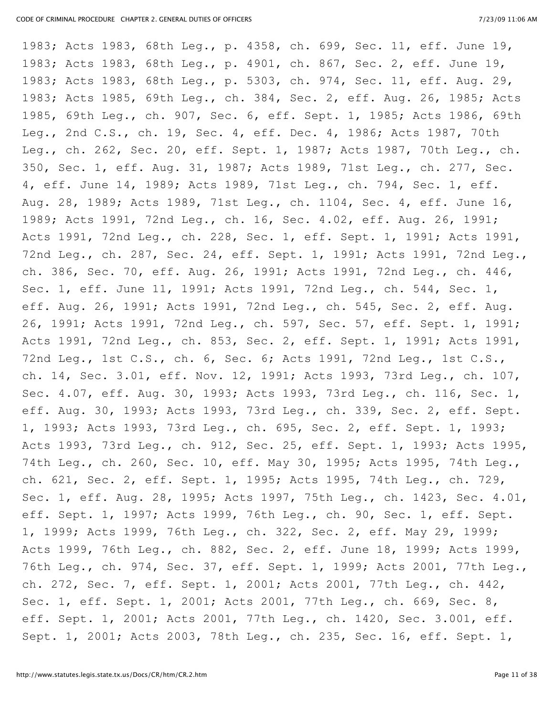1983; Acts 1983, 68th Leg., p. 4358, ch. 699, Sec. 11, eff. June 19, 1983; Acts 1983, 68th Leg., p. 4901, ch. 867, Sec. 2, eff. June 19, 1983; Acts 1983, 68th Leg., p. 5303, ch. 974, Sec. 11, eff. Aug. 29, 1983; Acts 1985, 69th Leg., ch. 384, Sec. 2, eff. Aug. 26, 1985; Acts 1985, 69th Leg., ch. 907, Sec. 6, eff. Sept. 1, 1985; Acts 1986, 69th Leg., 2nd C.S., ch. 19, Sec. 4, eff. Dec. 4, 1986; Acts 1987, 70th Leg., ch. 262, Sec. 20, eff. Sept. 1, 1987; Acts 1987, 70th Leg., ch. 350, Sec. 1, eff. Aug. 31, 1987; Acts 1989, 71st Leg., ch. 277, Sec. 4, eff. June 14, 1989; Acts 1989, 71st Leg., ch. 794, Sec. 1, eff. Aug. 28, 1989; Acts 1989, 71st Leg., ch. 1104, Sec. 4, eff. June 16, 1989; Acts 1991, 72nd Leg., ch. 16, Sec. 4.02, eff. Aug. 26, 1991; Acts 1991, 72nd Leg., ch. 228, Sec. 1, eff. Sept. 1, 1991; Acts 1991, 72nd Leg., ch. 287, Sec. 24, eff. Sept. 1, 1991; Acts 1991, 72nd Leg., ch. 386, Sec. 70, eff. Aug. 26, 1991; Acts 1991, 72nd Leg., ch. 446, Sec. 1, eff. June 11, 1991; Acts 1991, 72nd Leg., ch. 544, Sec. 1, eff. Aug. 26, 1991; Acts 1991, 72nd Leg., ch. 545, Sec. 2, eff. Aug. 26, 1991; Acts 1991, 72nd Leg., ch. 597, Sec. 57, eff. Sept. 1, 1991; Acts 1991, 72nd Leg., ch. 853, Sec. 2, eff. Sept. 1, 1991; Acts 1991, 72nd Leg., 1st C.S., ch. 6, Sec. 6; Acts 1991, 72nd Leg., 1st C.S., ch. 14, Sec. 3.01, eff. Nov. 12, 1991; Acts 1993, 73rd Leg., ch. 107, Sec. 4.07, eff. Aug. 30, 1993; Acts 1993, 73rd Leg., ch. 116, Sec. 1, eff. Aug. 30, 1993; Acts 1993, 73rd Leg., ch. 339, Sec. 2, eff. Sept. 1, 1993; Acts 1993, 73rd Leg., ch. 695, Sec. 2, eff. Sept. 1, 1993; Acts 1993, 73rd Leg., ch. 912, Sec. 25, eff. Sept. 1, 1993; Acts 1995, 74th Leg., ch. 260, Sec. 10, eff. May 30, 1995; Acts 1995, 74th Leg., ch. 621, Sec. 2, eff. Sept. 1, 1995; Acts 1995, 74th Leg., ch. 729, Sec. 1, eff. Aug. 28, 1995; Acts 1997, 75th Leg., ch. 1423, Sec. 4.01, eff. Sept. 1, 1997; Acts 1999, 76th Leg., ch. 90, Sec. 1, eff. Sept. 1, 1999; Acts 1999, 76th Leg., ch. 322, Sec. 2, eff. May 29, 1999; Acts 1999, 76th Leg., ch. 882, Sec. 2, eff. June 18, 1999; Acts 1999, 76th Leg., ch. 974, Sec. 37, eff. Sept. 1, 1999; Acts 2001, 77th Leg., ch. 272, Sec. 7, eff. Sept. 1, 2001; Acts 2001, 77th Leg., ch. 442, Sec. 1, eff. Sept. 1, 2001; Acts 2001, 77th Leg., ch. 669, Sec. 8, eff. Sept. 1, 2001; Acts 2001, 77th Leg., ch. 1420, Sec. 3.001, eff. Sept. 1, 2001; Acts 2003, 78th Leg., ch. 235, Sec. 16, eff. Sept. 1,